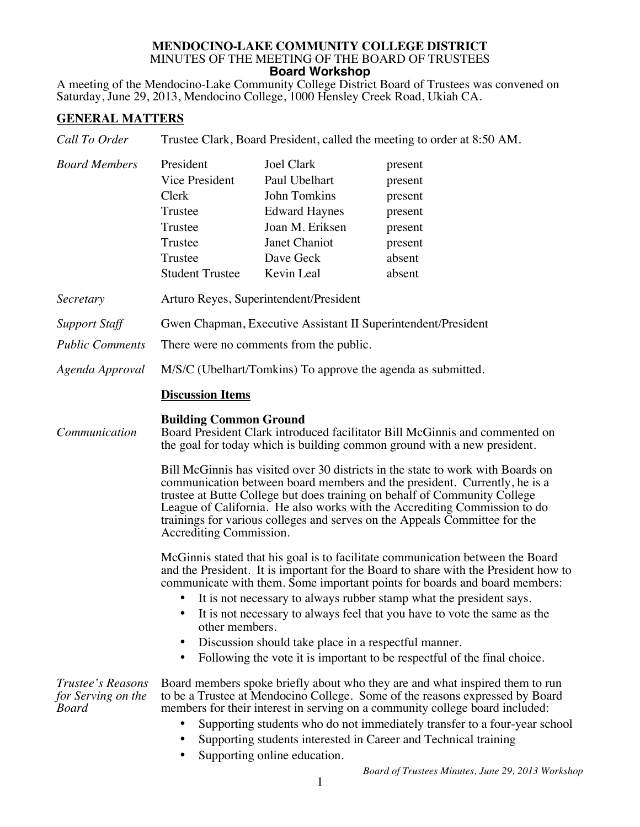## **MENDOCINO-LAKE COMMUNITY COLLEGE DISTRICT** MINUTES OF THE MEETING OF THE BOARD OF TRUSTEES **Board Workshop**

A meeting of the Mendocino-Lake Community College District Board of Trustees was convened on Saturday, June 29, 2013, Mendocino College, 1000 Hensley Creek Road, Ukiah CA.

## **GENERAL MATTERS**

| Call To Order                                                     | Trustee Clark, Board President, called the meeting to order at 8:50 AM.                                                                                                                                                                                                                                                                                                                                                                                                                                                                                                                                                                                                         |                                                                                                                                           |                                                                                                                                                                                                                                                                                                                                                                                              |  |
|-------------------------------------------------------------------|---------------------------------------------------------------------------------------------------------------------------------------------------------------------------------------------------------------------------------------------------------------------------------------------------------------------------------------------------------------------------------------------------------------------------------------------------------------------------------------------------------------------------------------------------------------------------------------------------------------------------------------------------------------------------------|-------------------------------------------------------------------------------------------------------------------------------------------|----------------------------------------------------------------------------------------------------------------------------------------------------------------------------------------------------------------------------------------------------------------------------------------------------------------------------------------------------------------------------------------------|--|
| <b>Board Members</b>                                              | President<br>Vice President<br>Clerk<br>Trustee<br>Trustee<br>Trustee<br>Trustee<br><b>Student Trustee</b>                                                                                                                                                                                                                                                                                                                                                                                                                                                                                                                                                                      | <b>Joel Clark</b><br>Paul Ubelhart<br>John Tomkins<br><b>Edward Haynes</b><br>Joan M. Eriksen<br>Janet Chaniot<br>Dave Geck<br>Kevin Leal | present<br>present<br>present<br>present<br>present<br>present<br>absent<br>absent                                                                                                                                                                                                                                                                                                           |  |
| Secretary                                                         | Arturo Reyes, Superintendent/President                                                                                                                                                                                                                                                                                                                                                                                                                                                                                                                                                                                                                                          |                                                                                                                                           |                                                                                                                                                                                                                                                                                                                                                                                              |  |
| <b>Support Staff</b><br><b>Public Comments</b><br>Agenda Approval | Gwen Chapman, Executive Assistant II Superintendent/President<br>There were no comments from the public.<br>M/S/C (Ubelhart/Tomkins) To approve the agenda as submitted.                                                                                                                                                                                                                                                                                                                                                                                                                                                                                                        |                                                                                                                                           |                                                                                                                                                                                                                                                                                                                                                                                              |  |
|                                                                   | <b>Discussion Items</b>                                                                                                                                                                                                                                                                                                                                                                                                                                                                                                                                                                                                                                                         |                                                                                                                                           |                                                                                                                                                                                                                                                                                                                                                                                              |  |
| Communication                                                     | <b>Building Common Ground</b><br>Board President Clark introduced facilitator Bill McGinnis and commented on<br>the goal for today which is building common ground with a new president.<br>Bill McGinnis has visited over 30 districts in the state to work with Boards on<br>communication between board members and the president. Currently, he is a<br>trustee at Butte College but does training on behalf of Community College<br>League of California. He also works with the Accrediting Commission to do                                                                                                                                                              |                                                                                                                                           |                                                                                                                                                                                                                                                                                                                                                                                              |  |
|                                                                   | trainings for various colleges and serves on the Appeals Committee for the<br>Accrediting Commission.<br>McGinnis stated that his goal is to facilitate communication between the Board<br>and the President. It is important for the Board to share with the President how to<br>communicate with them. Some important points for boards and board members:<br>It is not necessary to always rubber stamp what the president says.<br>It is not necessary to always feel that you have to vote the same as the<br>other members.<br>Discussion should take place in a respectful manner.<br>٠<br>Following the vote it is important to be respectful of the final choice.<br>٠ |                                                                                                                                           |                                                                                                                                                                                                                                                                                                                                                                                              |  |
| Trustee's Reasons<br>for Serving on the<br><b>Board</b>           |                                                                                                                                                                                                                                                                                                                                                                                                                                                                                                                                                                                                                                                                                 | Supporting online education.                                                                                                              | Board members spoke briefly about who they are and what inspired them to run<br>to be a Trustee at Mendocino College. Some of the reasons expressed by Board<br>members for their interest in serving on a community college board included:<br>Supporting students who do not immediately transfer to a four-year school<br>Supporting students interested in Career and Technical training |  |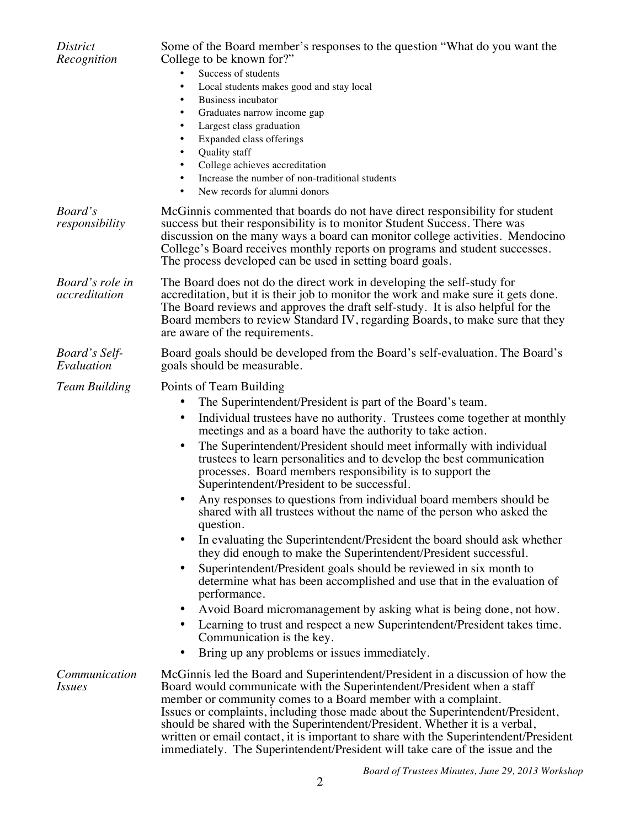| <i>District</i><br>Recognition   | Some of the Board member's responses to the question "What do you want the<br>College to be known for?"<br>Success of students<br>$\bullet$<br>Local students makes good and stay local<br>٠<br><b>Business incubator</b><br>٠<br>Graduates narrow income gap<br>Largest class graduation<br>Expanded class offerings<br>Quality staff<br>College achieves accreditation<br>Increase the number of non-traditional students<br>٠<br>New records for alumni donors<br>٠                                                                                                                                                                                                                                                                                                                                                                                                                                                                                                                                                                                                                                                                                                                                                                |  |  |
|----------------------------------|---------------------------------------------------------------------------------------------------------------------------------------------------------------------------------------------------------------------------------------------------------------------------------------------------------------------------------------------------------------------------------------------------------------------------------------------------------------------------------------------------------------------------------------------------------------------------------------------------------------------------------------------------------------------------------------------------------------------------------------------------------------------------------------------------------------------------------------------------------------------------------------------------------------------------------------------------------------------------------------------------------------------------------------------------------------------------------------------------------------------------------------------------------------------------------------------------------------------------------------|--|--|
| Board's<br>responsibility        | McGinnis commented that boards do not have direct responsibility for student<br>success but their responsibility is to monitor Student Success. There was<br>discussion on the many ways a board can monitor college activities. Mendocino<br>College's Board receives monthly reports on programs and student successes.<br>The process developed can be used in setting board goals.                                                                                                                                                                                                                                                                                                                                                                                                                                                                                                                                                                                                                                                                                                                                                                                                                                                |  |  |
| Board's role in<br>accreditation | The Board does not do the direct work in developing the self-study for<br>accreditation, but it is their job to monitor the work and make sure it gets done.<br>The Board reviews and approves the draft self-study. It is also helpful for the<br>Board members to review Standard IV, regarding Boards, to make sure that they<br>are aware of the requirements.                                                                                                                                                                                                                                                                                                                                                                                                                                                                                                                                                                                                                                                                                                                                                                                                                                                                    |  |  |
| Board's Self-<br>Evaluation      | Board goals should be developed from the Board's self-evaluation. The Board's<br>goals should be measurable.                                                                                                                                                                                                                                                                                                                                                                                                                                                                                                                                                                                                                                                                                                                                                                                                                                                                                                                                                                                                                                                                                                                          |  |  |
| <b>Team Building</b>             | Points of Team Building<br>The Superintendent/President is part of the Board's team.<br>Individual trustees have no authority. Trustees come together at monthly<br>٠<br>meetings and as a board have the authority to take action.<br>The Superintendent/President should meet informally with individual<br>٠<br>trustees to learn personalities and to develop the best communication<br>processes. Board members responsibility is to support the<br>Superintendent/President to be successful.<br>Any responses to questions from individual board members should be<br>shared with all trustees without the name of the person who asked the<br>question.<br>In evaluating the Superintendent/President the board should ask whether<br>٠<br>they did enough to make the Superintendent/President successful.<br>Superintendent/President goals should be reviewed in six month to<br>٠<br>determine what has been accomplished and use that in the evaluation of<br>performance.<br>Avoid Board micromanagement by asking what is being done, not how.<br>٠<br>Learning to trust and respect a new Superintendent/President takes time.<br>٠<br>Communication is the key.<br>Bring up any problems or issues immediately.<br>٠ |  |  |
| Communication<br><i>Issues</i>   | McGinnis led the Board and Superintendent/President in a discussion of how the<br>Board would communicate with the Superintendent/President when a staff<br>member or community comes to a Board member with a complaint.<br>Issues or complaints, including those made about the Superintendent/President,<br>should be shared with the Superintendent/President. Whether it is a verbal,<br>written or email contact, it is important to share with the Superintendent/President<br>immediately. The Superintendent/President will take care of the issue and the                                                                                                                                                                                                                                                                                                                                                                                                                                                                                                                                                                                                                                                                   |  |  |